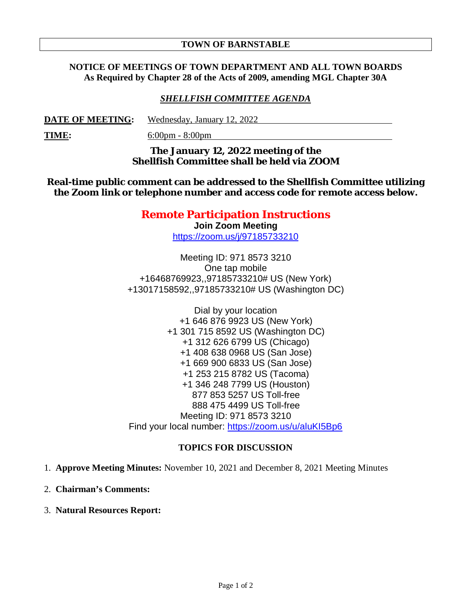### **TOWN OF BARNSTABLE**

## **NOTICE OF MEETINGS OF TOWN DEPARTMENT AND ALL TOWN BOARDS As Required by Chapter 28 of the Acts of 2009, amending MGL Chapter 30A**

## *SHELLFISH COMMITTEE AGENDA*

**DATE OF MEETING:** Wednesday, January 12, 2022

**TIME:** 6:00pm - 8:00pm

**The January 12, 2022 meeting of the Shellfish Committee shall be held via ZOOM** 

**Real-time public comment can be addressed to the Shellfish Committee utilizing the Zoom link or telephone number and access code for remote access below.**

# **Remote Participation Instructions**

**Join Zoom Meeting** https://zoom.us/j/97185733210

Meeting ID: 971 8573 3210 One tap mobile +16468769923,,97185733210# US (New York) +13017158592,,97185733210# US (Washington DC)

Dial by your location +1 646 876 9923 US (New York) +1 301 715 8592 US (Washington DC) +1 312 626 6799 US (Chicago) +1 408 638 0968 US (San Jose) +1 669 900 6833 US (San Jose) +1 253 215 8782 US (Tacoma) +1 346 248 7799 US (Houston) 877 853 5257 US Toll-free 888 475 4499 US Toll-free Meeting ID: 971 8573 3210 Find your local number: https://zoom.us/u/aluKI5Bp6

## **TOPICS FOR DISCUSSION**

- 1. **Approve Meeting Minutes:** November 10, 2021 and December 8, 2021 Meeting Minutes
- 2. **Chairman's Comments:**
- 3. **Natural Resources Report:**